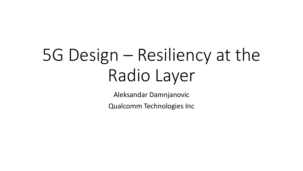# 5G Design – Resiliency at the Radio Layer

Aleksandar Damnjanovic

Qualcomm Technologies Inc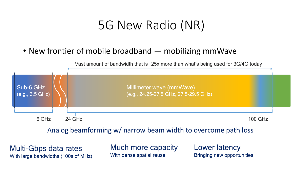## 5G New Radio (NR)

#### • New frontier of mobile broadband — mobilizing mmWave

Vast amount of bandwidth that is ~25x more than what's being used for 3G/4G today



Analog beamforming w/ narrow beam width to overcome path loss

Multi-Gbps data rates With large bandwidths (100s of MHz) Much more capacity With dense spatial reuse

Lower latency Bringing new opportunities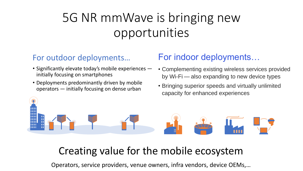# 5G NR mmWave is bringing new opportunities

#### For outdoor deployments…

- Significantly elevate today's mobile experiences initially focusing on smartphones
- Deployments predominantly driven by mobile operators — initially focusing on dense urban

#### For indoor deployments…

- Complementing existing wireless services provided by Wi-Fi — also expanding to new device types
- Bringing superior speeds and virtually unlimited capacity for enhanced experiences



#### Creating value for the mobile ecosystem

Operators, service providers, venue owners, infra vendors, device OEMs,…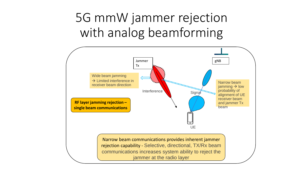# 5G mmW jammer rejection with analog beamforming

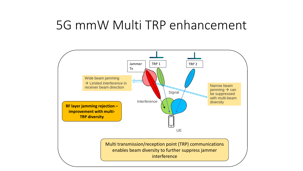### 5G mmW Multi TRP enhancement